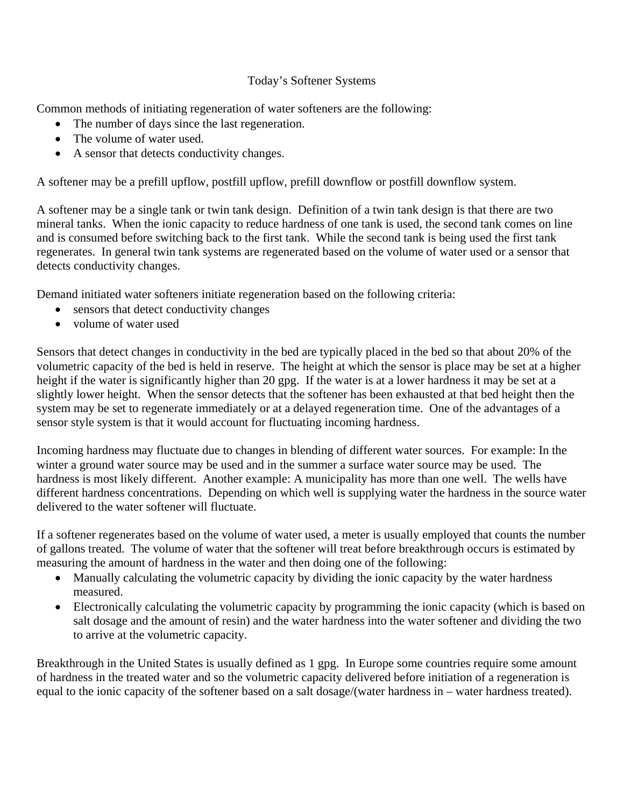## Today's Softener Systems

Common methods of initiating regeneration of water softeners are the following:

- The number of days since the last regeneration.
- The volume of water used.
- A sensor that detects conductivity changes.

A softener may be a prefill upflow, postfill upflow, prefill downflow or postfill downflow system.

A softener may be a single tank or twin tank design. Definition of a twin tank design is that there are two mineral tanks. When the ionic capacity to reduce hardness of one tank is used, the second tank comes on line and is consumed before switching back to the first tank. While the second tank is being used the first tank regenerates. In general twin tank systems are regenerated based on the volume of water used or a sensor that detects conductivity changes.

Demand initiated water softeners initiate regeneration based on the following criteria:

- sensors that detect conductivity changes
- volume of water used

Sensors that detect changes in conductivity in the bed are typically placed in the bed so that about 20% of the volumetric capacity of the bed is held in reserve. The height at which the sensor is place may be set at a higher height if the water is significantly higher than 20 gpg. If the water is at a lower hardness it may be set at a slightly lower height. When the sensor detects that the softener has been exhausted at that bed height then the system may be set to regenerate immediately or at a delayed regeneration time. One of the advantages of a sensor style system is that it would account for fluctuating incoming hardness.

Incoming hardness may fluctuate due to changes in blending of different water sources. For example: In the winter a ground water source may be used and in the summer a surface water source may be used. The hardness is most likely different. Another example: A municipality has more than one well. The wells have different hardness concentrations. Depending on which well is supplying water the hardness in the source water delivered to the water softener will fluctuate.

If a softener regenerates based on the volume of water used, a meter is usually employed that counts the number of gallons treated. The volume of water that the softener will treat before breakthrough occurs is estimated by measuring the amount of hardness in the water and then doing one of the following:

- Manually calculating the volumetric capacity by dividing the ionic capacity by the water hardness measured.
- Electronically calculating the volumetric capacity by programming the ionic capacity (which is based on salt dosage and the amount of resin) and the water hardness into the water softener and dividing the two to arrive at the volumetric capacity.

Breakthrough in the United States is usually defined as 1 gpg. In Europe some countries require some amount of hardness in the treated water and so the volumetric capacity delivered before initiation of a regeneration is equal to the ionic capacity of the softener based on a salt dosage/(water hardness in – water hardness treated).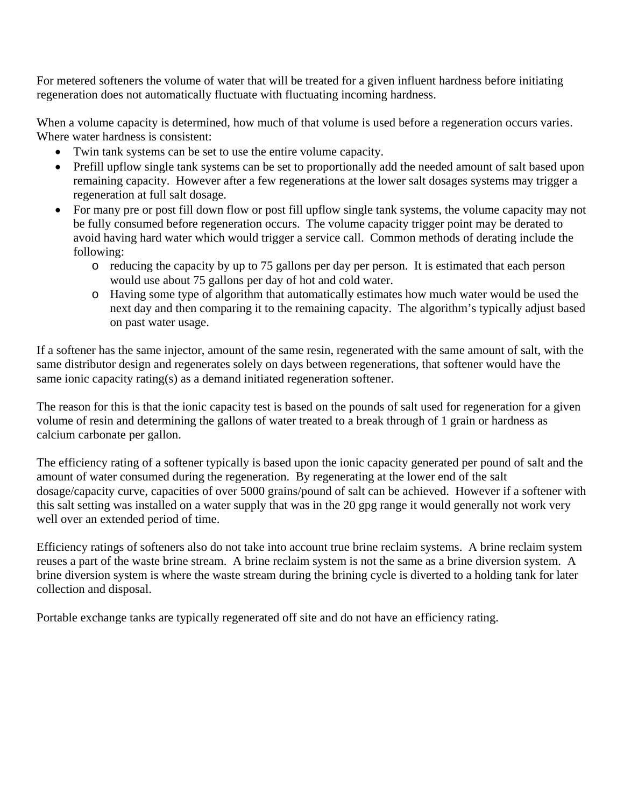For metered softeners the volume of water that will be treated for a given influent hardness before initiating regeneration does not automatically fluctuate with fluctuating incoming hardness.

When a volume capacity is determined, how much of that volume is used before a regeneration occurs varies. Where water hardness is consistent:

- Twin tank systems can be set to use the entire volume capacity.
- Prefill upflow single tank systems can be set to proportionally add the needed amount of salt based upon remaining capacity. However after a few regenerations at the lower salt dosages systems may trigger a regeneration at full salt dosage.
- For many pre or post fill down flow or post fill upflow single tank systems, the volume capacity may not be fully consumed before regeneration occurs. The volume capacity trigger point may be derated to avoid having hard water which would trigger a service call. Common methods of derating include the following:
	- o reducing the capacity by up to 75 gallons per day per person. It is estimated that each person would use about 75 gallons per day of hot and cold water.
	- o Having some type of algorithm that automatically estimates how much water would be used the next day and then comparing it to the remaining capacity. The algorithm's typically adjust based on past water usage.

If a softener has the same injector, amount of the same resin, regenerated with the same amount of salt, with the same distributor design and regenerates solely on days between regenerations, that softener would have the same ionic capacity rating(s) as a demand initiated regeneration softener.

The reason for this is that the ionic capacity test is based on the pounds of salt used for regeneration for a given volume of resin and determining the gallons of water treated to a break through of 1 grain or hardness as calcium carbonate per gallon.

The efficiency rating of a softener typically is based upon the ionic capacity generated per pound of salt and the amount of water consumed during the regeneration. By regenerating at the lower end of the salt dosage/capacity curve, capacities of over 5000 grains/pound of salt can be achieved. However if a softener with this salt setting was installed on a water supply that was in the 20 gpg range it would generally not work very well over an extended period of time.

Efficiency ratings of softeners also do not take into account true brine reclaim systems. A brine reclaim system reuses a part of the waste brine stream. A brine reclaim system is not the same as a brine diversion system. A brine diversion system is where the waste stream during the brining cycle is diverted to a holding tank for later collection and disposal.

Portable exchange tanks are typically regenerated off site and do not have an efficiency rating.